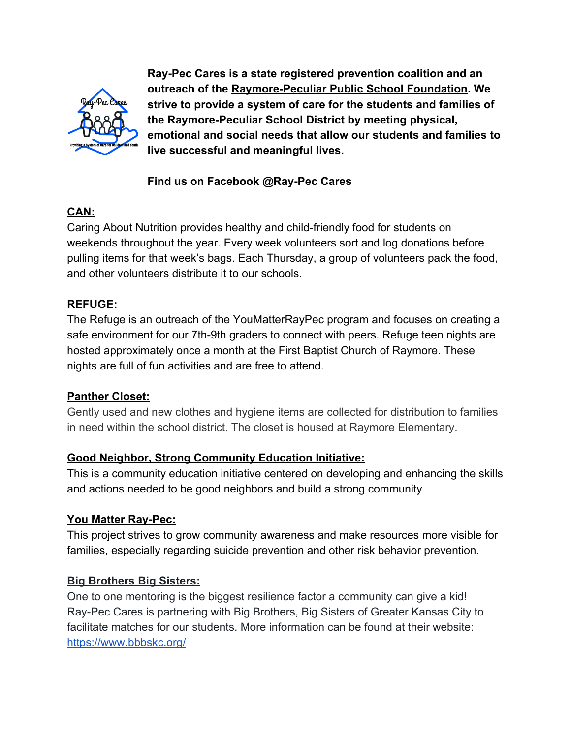

**Ray-Pec Cares is a state registered prevention coalition and an outreach of the Raymore-Peculiar Public School Foundation. We strive to provide a system of care for the students and families of the Raymore-Peculiar School District by meeting physical, emotional and social needs that allow our students and families to live successful and meaningful lives.**

# **Find us on Facebook @Ray-Pec Cares**

# **CAN:**

Caring About Nutrition provides healthy and child-friendly food for students on weekends throughout the year. Every week volunteers sort and log donations before pulling items for that week's bags. Each Thursday, a group of volunteers pack the food, and other volunteers distribute it to our schools.

#### **REFUGE:**

The Refuge is an outreach of the YouMatterRayPec program and focuses on creating a safe environment for our 7th-9th graders to connect with peers. Refuge teen nights are hosted approximately once a month at the First Baptist Church of Raymore. These nights are full of fun activities and are free to attend.

#### **Panther Closet:**

Gently used and new clothes and hygiene items are collected for distribution to families in need within the school district. The closet is housed at Raymore Elementary.

### **Good Neighbor, Strong Community Education Initiative:**

This is a community education initiative centered on developing and enhancing the skills and actions needed to be good neighbors and build a strong community

### **You Matter Ray-Pec:**

This project strives to grow community awareness and make resources more visible for families, especially regarding suicide prevention and other risk behavior prevention.

### **Big Brothers Big Sisters:**

One to one mentoring is the biggest resilience factor a community can give a kid! Ray-Pec Cares is partnering with Big Brothers, Big Sisters of Greater Kansas City to facilitate matches for our students. More information can be found at their website: <https://www.bbbskc.org/>